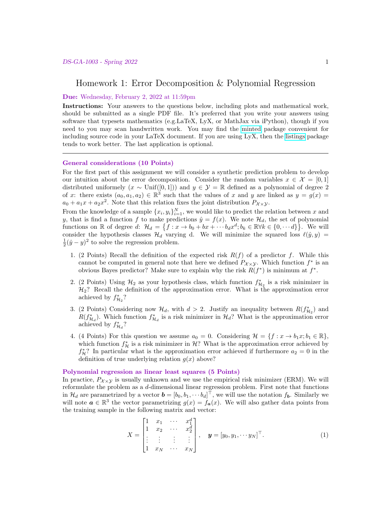# Homework 1: Error Decomposition & Polynomial Regression

### Due: Wednesday, February 2, 2022 at 11:59pm

Instructions: Your answers to the questions below, including plots and mathematical work, should be submitted as a single PDF file. It's preferred that you write your answers using software that typesets mathematics (e.g.LaTeX, LyX, or MathJax via iPython), though if you need to you may scan handwritten work. You may find the [minted](https://github.com/gpoore/minted) package convenient for including source code in your LaTeX document. If you are using LyX, then the [listings](https://en.wikibooks.org/wiki/LaTeX/Source_Code_Listings) package tends to work better. The last application is optional.

### General considerations (10 Points)

For the first part of this assignment we will consider a synthetic prediction problem to develop our intuition about the error decomposition. Consider the random variables  $x \in \mathcal{X} = [0,1]$ distributed uniformely  $(x \sim \text{Unif}([0,1]))$  and  $y \in \mathcal{Y} = \mathbb{R}$  defined as a polynomial of degree 2 of x: there exists  $(a_0, a_1, a_2) \in \mathbb{R}^3$  such that the values of x and y are linked as  $y = g(x) =$  $a_0 + a_1x + a_2x^2$ . Note that this relation fixes the joint distribution  $P_{\chi \times \chi}$ .

From the knowledge of a sample  $\{x_i, y_i\}_{i=1}^N$ , we would like to predict the relation between x and y, that is find a function f to make predictions  $\hat{y} = f(x)$ . We note  $\mathcal{H}_d$ , the set of polynomial functions on  $\mathbb R$  of degree d:  $\mathcal H_d = \{f : x \to b_0 + bx + \cdots b_dx^d; b_k \in \mathbb R \forall k \in \{0, \cdots d\} \}$ . We will consider the hypothesis classes  $\mathcal{H}_d$  varying d. We will minimize the squared loss  $\ell(\hat{y}, y) =$  $\frac{1}{2}(\hat{y}-y)^2$  to solve the regression problem.

- 1. (2 Points) Recall the definition of the expected risk  $R(f)$  of a predictor f. While this cannot be computed in general note that here we defined  $P_{\mathcal{X}\times\mathcal{Y}}$ . Which function  $f^*$  is an obvious Bayes predictor? Make sure to explain why the risk  $R(f^*)$  is minimum at  $f^*$ .
- 2. (2 Points) Using  $\mathcal{H}_2$  as your hypothesis class, which function  $f_{\mathcal{H}_2}^*$  is a risk minimizer in  $\mathcal{H}_2$ ? Recall the definition of the approximation error. What is the approximation error achieved by  $f_{\mathcal{H}_2}^*$ ?
- 3. (2 Points) Considering now  $\mathcal{H}_d$ , with  $d > 2$ . Justify an inequality between  $R(f_{\mathcal{H}_2}^*)$  and  $R(f_{\mathcal{H}_d}^*)$ . Which function  $f_{\mathcal{H}_d}^*$  is a risk minimizer in  $\mathcal{H}_d$ ? What is the approximation error achieved by  $f_{\mathcal{H}_d}^*$ ?
- 4. (4 Points) For this question we assume  $a_0 = 0$ . Considering  $\mathcal{H} = \{f : x \to b_1x; b_1 \in \mathbb{R}\},\$ which function  $f_{\mathcal{H}}^*$  is a risk minimizer in  $\mathcal{H}$ ? What is the approximation error achieved by  $f_{\mathcal{H}}^*$ ? In particular what is the approximation error achieved if furthermore  $a_2 = 0$  in the definition of true underlying relation  $g(x)$  above?

# Polynomial regression as linear least squares (5 Points)

In practice,  $P_{\chi \chi y}$  is usually unknown and we use the empirical risk minimizer (ERM). We will reformulate the problem as a  $d$ -dimensional linear regression problem. First note that functions in  $\mathcal{H}_d$  are parametrized by a vector  $\boldsymbol{b} = [b_0, b_1, \cdots b_d]^\top$ , we will use the notation  $f_{\boldsymbol{b}}$ . Similarly we will note  $a \in \mathbb{R}^3$  the vector parametrizing  $g(x) = f_a(x)$ . We will also gather data points from the training sample in the following matrix and vector:

$$
X = \begin{bmatrix} 1 & x_1 & \cdots & x_1^d \\ 1 & x_2 & \cdots & x_2^d \\ \vdots & \vdots & \vdots & \vdots \\ 1 & x_N & \cdots & x_N \end{bmatrix}, \quad \mathbf{y} = [y_0, y_1, \cdots y_N]^\top.
$$
 (1)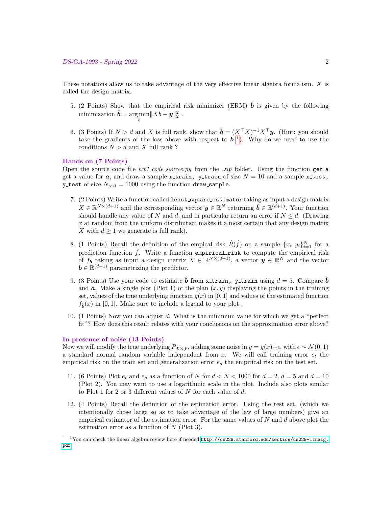These notations allow us to take advantage of the very effective linear algebra formalism. X is called the design matrix.

- 5. (2 Points) Show that the empirical risk minimizer (ERM)  $\hat{b}$  is given by the following  $\text{minimization} \ \hat{\boldsymbol{b}} = \arg \min \lVert Xb - \boldsymbol{y} \rVert_2^2 \ .$ b
- 6. (3 Points) If  $N > d$  and X is full rank, show that  $\hat{\boldsymbol{b}} = (X^{\top}X)^{-1}X^{\top}\boldsymbol{y}$ . (Hint: you should take the gradients of the loss above with respect to  $\boldsymbol{b}^{-1}$  $\boldsymbol{b}^{-1}$  $\boldsymbol{b}^{-1}$ ). Why do we need to use the conditions  $N > d$  and X full rank ?

# Hands on (7 Points)

Open the source code file  $hwl\text{-}code\_source.py$  from the *zip* folder. Using the function get a get a value for a, and draw a sample x-train, y-train of size  $N = 10$  and a sample x-test, y\_test of size  $N_{\text{test}} = 1000$  using the function draw\_sample.

- 7. (2 Points) Write a function called least\_square\_estimator taking as input a design matrix  $X \in \mathbb{R}^{N \times (d+1)}$  and the corresponding vector  $\mathbf{y} \in \mathbb{R}^N$  returning  $\hat{\mathbf{b}} \in \mathbb{R}^{(d+1)}$ . Your function should handle any value of N and d, and in particular return an error if  $N \le d$ . (Drawing  $x$  at random from the uniform distribution makes it almost certain that any design matrix X with  $d \geq 1$  we generate is full rank).
- 8. (1 Points) Recall the definition of the empical risk  $\hat{R}(\hat{f})$  on a sample  $\{x_i, y_i\}_{i=1}^N$  for a prediction function  $\hat{f}$ . Write a function empirical risk to compute the empirical risk of  $f_{\boldsymbol{b}}$  taking as input a design matrix  $X \in \mathbb{R}^{N \times (d+1)}$ , a vector  $\boldsymbol{y} \in \mathbb{R}^N$  and the vector  $\mathbf{b} \in \mathbb{R}^{(d+1)}$  parametrizing the predictor.
- 9. (3 Points) Use your code to estimate  $\hat{b}$  from x\_train, y\_train using  $d = 5$ . Compare  $\hat{b}$ and  $\boldsymbol{a}$ . Make a single plot (Plot 1) of the plan  $(x, y)$  displaying the points in the training set, values of the true underlying function  $q(x)$  in [0, 1] and values of the estimated function  $f_{\hat{\mathbf{b}}}(x)$  in [0, 1]. Make sure to include a legend to your plot.
- 10. (1 Points) Now you can adjust d. What is the minimum value for which we get a "perfect fit"? How does this result relates with your conclusions on the approximation error above?

#### In presence of noise (13 Points)

Now we will modify the true underlying  $P_{\mathcal{X}\times\mathcal{Y}}$ , adding some noise in  $y = g(x)+\epsilon$ , with  $\epsilon \sim \mathcal{N}(0, 1)$ a standard normal random variable independent from  $x$ . We will call training error  $e_t$  the empirical risk on the train set and generalization error  $e_q$  the empirical risk on the test set.

- 11. (6 Points) Plot  $e_t$  and  $e_g$  as a function of N for  $d < N < 1000$  for  $d = 2$ ,  $d = 5$  and  $d = 10$ (Plot 2). You may want to use a logarithmic scale in the plot. Include also plots similar to Plot 1 for 2 or 3 different values of  $N$  for each value of  $d$ .
- 12. (4 Points) Recall the definition of the estimation error. Using the test set, (which we intentionally chose large so as to take advantage of the law of large numbers) give an empirical estimator of the estimation error. For the same values of  $N$  and  $d$  above plot the estimation error as a function of  $N$  (Plot 3).

<span id="page-1-0"></span> $1$ You can check the linear algebra review here if needed  ${\tt http://cs229.stanford.edu/section/cs229-linalg}.$ [pdf](http://cs229.stanford.edu/section/cs229-linalg.pdf)